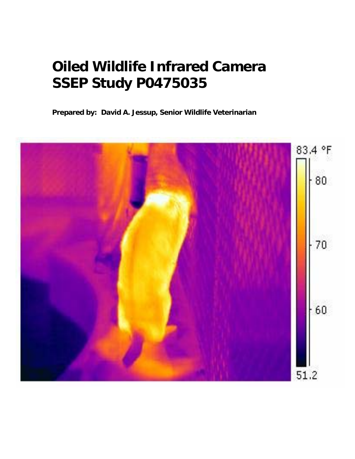# **Oiled Wildlife Infrared Camera SSEP Study P0475035**

**Prepared by: David A. Jessup, Senior Wildlife Veterinarian**

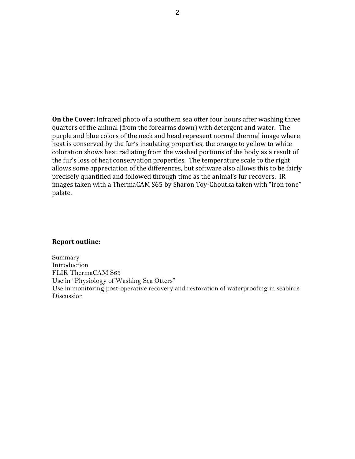**On the Cover:** Infrared photo of a southern sea otter four hours after washing three quarters of the animal (from the forearms down) with detergent and water. The purple and blue colors of the neck and head represent normal thermal image where heat is conserved by the fur's insulating properties, the orange to yellow to white coloration shows heat radiating from the washed portions of the body as a result of the fur's loss of heat conservation properties. The temperature scale to the right allows some appreciation of the differences, but software also allows this to be fairly precisely quantified and followed through time as the animal's fur recovers. IR mages taken with a ThermaCAM S65 by Sharon Toy‐Choutka taken with "iron tone" i palate.

#### **Report outline:**

Summary Introduction FLIR ThermaCAM S65 Use in "Physiology of Washing Sea Otters" Use in monitoring post-operative recovery and restoration of waterproofing in seabirds Discussion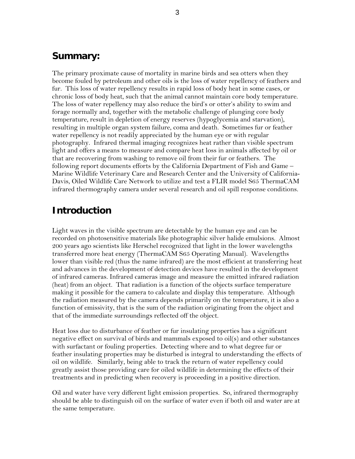#### **Summary:**

The primary proximate cause of mortality in marine birds and sea otters when they become fouled by petroleum and other oils is the loss of water repellency of feathers and fur. This loss of water repellency results in rapid loss of body heat in some cases, or chronic loss of body heat, such that the animal cannot maintain core body temperature. The loss of water repellency may also reduce the bird's or otter's ability to swim and forage normally and, together with the metabolic challenge of plunging core body temperature, result in depletion of energy reserves (hypoglycemia and starvation), resulting in multiple organ system failure, coma and death. Sometimes fur or feather water repellency is not readily appreciated by the human eye or with regular photography. Infrared thermal imaging recognizes heat rather than visible spectrum light and offers a means to measure and compare heat loss in animals affected by oil or that are recovering from washing to remove oil from their fur or feathers. The following report documents efforts by the California Department of Fish and Game – Marine Wildlife Veterinary Care and Research Center and the University of California-Davis, Oiled Wildlife Care Network to utilize and test a FLIR model S65 ThermaCAM infrared thermography camera under several research and oil spill response conditions.

#### **Introduction**

Light waves in the visible spectrum are detectable by the human eye and can be recorded on photosensitive materials like photographic silver halide emulsions. Almost 200 years ago scientists like Herschel recognized that light in the lower wavelengths transferred more heat energy (ThermaCAM S65 Operating Manual). Wavelengths lower than visible red (thus the name infrared) are the most efficient at transferring heat and advances in the development of detection devices have resulted in the development of infrared cameras. Infrared cameras image and measure the emitted infrared radiation (heat) from an object. That radiation is a function of the objects surface temperature making it possible for the camera to calculate and display this temperature. Although the radiation measured by the camera depends primarily on the temperature, it is also a function of emissivity, that is the sum of the radiation originating from the object and that of the immediate surroundings reflected off the object.

Heat loss due to disturbance of feather or fur insulating properties has a significant negative effect on survival of birds and mammals exposed to oil(s) and other substances with surfactant or fouling properties. Detecting where and to what degree fur or feather insulating properties may be disturbed is integral to understanding the effects of oil on wildlife. Similarly, being able to track the return of water repellency could greatly assist those providing care for oiled wildlife in determining the effects of their treatments and in predicting when recovery is proceeding in a positive direction.

Oil and water have very different light emission properties. So, infrared thermography should be able to distinguish oil on the surface of water even if both oil and water are at the same temperature.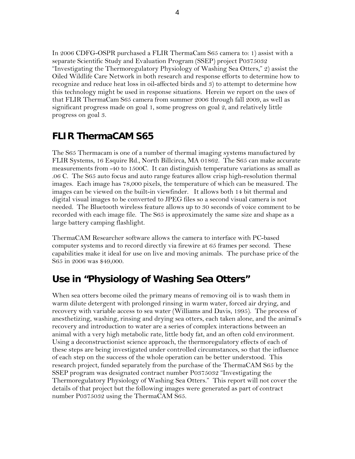In 2006 CDFG-OSPR purchased a FLIR ThermaCam S65 camera to: 1) assist with a separate Scientific Study and Evaluation Program (SSEP) project P0375032 "Investigating the Thermoregulatory Physiology of Washing Sea Otters," 2) assist the Oiled Wildlife Care Network in both research and response efforts to determine how to recognize and reduce heat loss in oil-affected birds and 3) to attempt to determine how this technology might be used in response situations. Herein we report on the uses of that FLIR ThermaCam S65 camera from summer 2006 through fall 2009, as well as significant progress made on goal 1, some progress on goal 2, and relatively little progress on goal 3.

#### **FLIR ThermaCAM S65**

The S65 Thermacam is one of a number of thermal imaging systems manufactured by FLIR Systems, 16 Esquire Rd., North Billcirca, MA 01862. The S65 can make accurate measurements from -40 to 1500C. It can distinguish temperature variations as small as .06 C. The S65 auto focus and auto range features allow crisp high-resolution thermal images. Each image has 78,000 pixels, the temperature of which can be measured. The images can be viewed on the built-in viewfinder. It allows both 14 bit thermal and digital visual images to be converted to JPEG files so a second visual camera is not needed. The Bluetooth wireless feature allows up to 30 seconds of voice comment to be recorded with each image file. The S65 is approximately the same size and shape as a large battery camping flashlight.

ThermaCAM Researcher software allows the camera to interface with PC-based computer systems and to record directly via firewire at 65 frames per second. These capabilities make it ideal for use on live and moving animals. The purchase price of the S65 in 2006 was \$49,000.

#### **Use in "Physiology of Washing Sea Otters"**

When sea otters become oiled the primary means of removing oil is to wash them in warm dilute detergent with prolonged rinsing in warm water, forced air drying, and recovery with variable access to sea water (Williams and Davis, 1995). The process of anesthetizing, washing, rinsing and drying sea otters, each taken alone, and the animal's recovery and introduction to water are a series of complex interactions between an animal with a very high metabolic rate, little body fat, and an often cold environment. Using a deconstructionist science approach, the thermoregulatory effects of each of these steps are being investigated under controlled circumstances, so that the influence of each step on the success of the whole operation can be better understood. This research project, funded separately from the purchase of the ThermaCAM S65 by the SSEP program was designated contract number P0375032 "Investigating the Thermoregulatory Physiology of Washing Sea Otters." This report will not cover the details of that project but the following images were generated as part of contract number P0375032 using the ThermaCAM S65.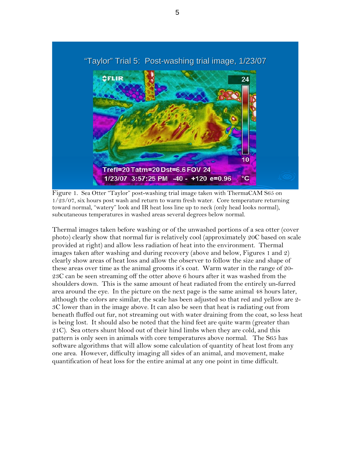

Figure 1. Sea Otter "Taylor" post-washing trial image taken with ThermaCAM S65 on 1/23/07, six hours post wash and return to warm fresh water. Core temperature returning toward normal, "watery" look and IR heat loss line up to neck (only head looks normal), subcutaneous temperatures in washed areas several degrees below normal.

Thermal images taken before washing or of the unwashed portions of a sea otter (cover photo) clearly show that normal fur is relatively cool (approximately 20C based on scale provided at right) and allow less radiation of heat into the environment. Thermal images taken after washing and during recovery (above and below, Figures 1 and 2) clearly show areas of heat loss and allow the observer to follow the size and shape of these areas over time as the animal grooms it's coat. Warm water in the range of 20- 23C can be seen streaming off the otter above 6 hours after it was washed from the shoulders down. This is the same amount of heat radiated from the entirely un-furred area around the eye. In the picture on the next page is the same animal 48 hours later, although the colors are similar, the scale has been adjusted so that red and yellow are 2- 3C lower than in the image above. It can also be seen that heat is radiating out from beneath fluffed out fur, not streaming out with water draining from the coat, so less heat is being lost. It should also be noted that the hind feet are quite warm (greater than 21C). Sea otters shunt blood out of their hind limbs when they are cold, and this pattern is only seen in animals with core temperatures above normal. The S65 has software algorithms that will allow some calculation of quantity of heat lost from any one area. However, difficulty imaging all sides of an animal, and movement, make quantification of heat loss for the entire animal at any one point in time difficult.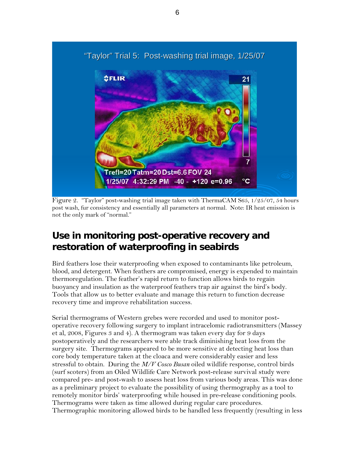

Figure 2. "Taylor" post-washing trial image taken with ThermaCAM S65, 1/25/07, 54 hours post wash, fur consistency and essentially all parameters at normal. Note: IR heat emission is not the only mark of "normal."

## **Use in monitoring post-operative recovery and restoration of waterproofing in seabirds**

Bird feathers lose their waterproofing when exposed to contaminants like petroleum, blood, and detergent. When feathers are compromised, energy is expended to maintain thermoregulation. The feather's rapid return to function allows birds to regain buoyancy and insulation as the waterproof feathers trap air against the bird's body. Tools that allow us to better evaluate and manage this return to function decrease recovery time and improve rehabilitation success.

Serial thermograms of Western grebes were recorded and used to monitor postoperative recovery following surgery to implant intracelomic radiotransmitters (Massey et al, 2008, Figures 3 and 4). A thermogram was taken every day for 9 days postoperatively and the researchers were able track diminishing heat loss from the surgery site. Thermograms appeared to be more sensitive at detecting heat loss than core body temperature taken at the cloaca and were considerably easier and less stressful to obtain. During the *M/V Cosco Busan* oiled wildlife response, control birds (surf scoters) from an Oiled Wildlife Care Network post-release survival study were compared pre- and post-wash to assess heat loss from various body areas. This was done as a preliminary project to evaluate the possibility of using thermography as a tool to remotely monitor birds' waterproofing while housed in pre-release conditioning pools. Thermograms were taken as time allowed during regular care procedures. Thermographic monitoring allowed birds to be handled less frequently (resulting in less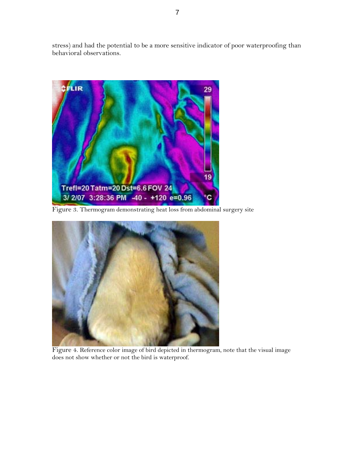stress) and had the potential to be a more sensitive indicator of poor waterproofing than behavioral observations.



Figure 3. Thermogram demonstrating heat loss from abdominal surgery site



Figure 4. Reference color image of bird depicted in thermogram, note that the visual image does not show whether or not the bird is waterproof.